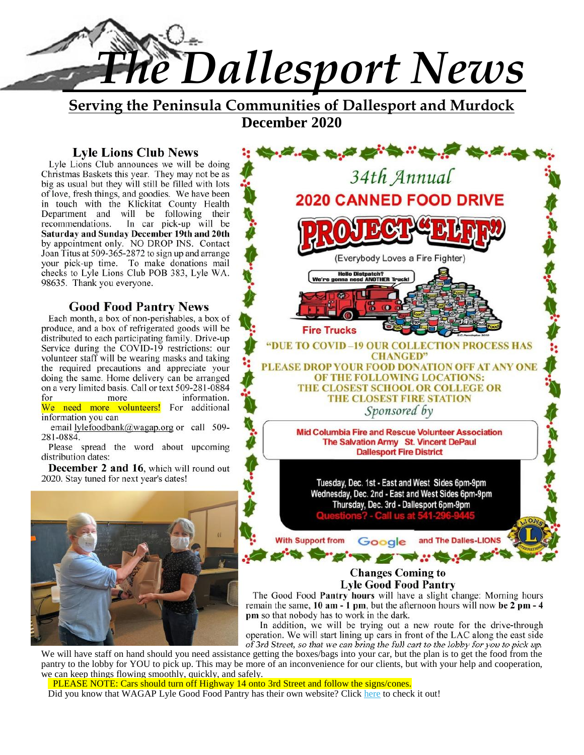

**Serving the Peninsula Communities of Dallesport and Murdock December 2020**

#### **Lyle Lions Club News**

Lyle Lions Club announces we will be doing Christmas Baskets this year. They may not be as big as usual but they will still be filled with lots of love, fresh things, and goodies. We have been in touch with the Klickitat County Health Department and will be following their recommendations. In car pick-up will be **Saturday and Sunday December 19th and 20th** by appointment only. NO DROP INS. Contact Joan Titus at 509-365-2872 to sign up and arrange your pick-up time. To make donations mail checks to Lyle Lions Club POB 383, Lyle WA. 98635. Thank you everyone.

## **Good Food Pantry News**

Each month, a box of non-perishables, a box of produce, and a box of refrigerated goods will be distributed to each participating family. Drive-up Service during the COVID-19 restrictions: our the required precautions and appreciate your doing the same. Home delivery can be arranged on a very limited basis. Call or text 509-281-0884 information. We need more volunteers! For additional information you can

email lylefoodbank@wagap.org or call 509-281-0884.

Please spread the word about upcoming distribution dates:

**December 2 and 16**, which will round out 2020. Stay tuned for next year's dates!



34th Annual **2020 CANNED FOOD DRIVE** (Everybody Loves a Fire Fighter) **Hello Distpatch?**<br>Inna need ANOTHER T **Fire Trucks** "DUE TO COVID-19 OUR COLLECTION PROCESS HAS **CHANGED"** volunteer staff will be wearing masks and taking<br>the required precautions and appreciate your<br>PLEASE DROP YOUR FOOD DONATION OFF AT ANY ONE OF THE FOLLOWING LOCATIONS: THE CLOSEST SCHOOL OR COLLEGE OR THE CLOSEST FIRE STATION Sponsored by Mid Columbia Fire and Rescue Volunteer Association The Salvation Army St. Vincent DePaul **Dallesport Fire District** Tuesday, Dec. 1st - East and West Sides 6pm-9pm Wednesday, Dec. 2nd - East and West Sides 6pm-9pm Thursday, Dec. 3rd - Dallesport 6pm-9pm **With Support from** Google and The Dalles-LIONS

## **Changes Coming to Lyle Good Food Pantry**

**CONTRACTOR** 

The Good Food **Pantry hours** will have a slight change: Morning hours remain the same, **10 am - 1 pm**, but the afternoon hours will now **be 2 pm - 4 pm** so that nobody has to work in the dark.

In addition, we will be trying out a new route for the drive-through operation. We will start lining up cars in front of the LAC along the east side of 3rd Street, so that we can bring the full cart to the lobby for you to pick up.

We will have staff on hand should you need assistance getting the boxes/bags into your car, but the plan is to get the food from the pantry to the lobby for YOU to pick up. This may be more of an inconvenience for our clients, but with your help and cooperation, we can keep things flowing smoothly, quickly, and safely.

PLEASE NOTE: Cars should turn off Highway 14 onto 3rd Street and follow the signs/cones.

Did you know that WAGAP Lyle Good Food Pantry has their own website? Click here to check it out!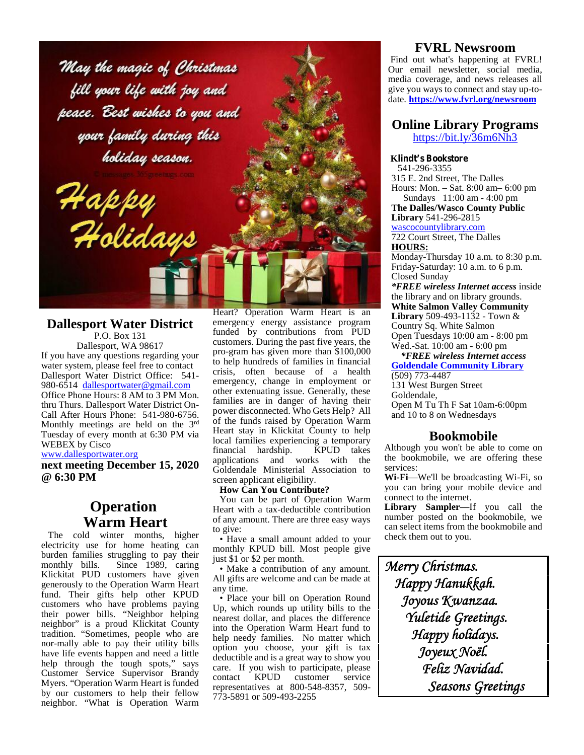May the magic of Christmas fill your life with joy and peace. Best wishes to you and your family during this holiday season.

.<br>Holidays

#### **Dallesport Water District** P.O. Box 131

Happy

Dallesport, WA 98617 If you have any questions regarding your water system, please feel free to contact Dallesport Water District Office: 541- 980-6514 dallesportwater@gmail.com Office Phone Hours: 8 AM to 3 PM Mon. thru Thurs. Dallesport Water District On- Call After Hours Phone: 541-980-6756. Monthly meetings are held on the 3rd Tuesday of every month at 6:30 PM via WEBEX by Cisco

#### www.dallesportwater.org

**next meeting December 15, 2020 @ 6:30 PM**

# **Operation Warm Heart**

The cold winter months, higher electricity use for home heating can burden families struggling to pay their<br>monthly bills. Since 1989, caring Since 1989, caring Klickitat PUD customers have given generously to the Operation Warm Heart fund. Their gifts help other KPUD customers who have problems paying their power bills. "Neighbor helping neighbor" is a proud Klickitat County  $\frac{\text{heat}}{\text{into}}$ tradition. "Sometimes, people who are  $\frac{m\omega}{heh}$ nor-mally able to pay their utility bills have life events happen and need a little help through the tough spots," says  $\frac{dS}{c}$ Customer Service Supervisor Brandy cance Customer Service Supervisor Brandy<br>Myers. "Operation Warm Heart is funded <sub>represent</sub> by our customers to help their fellow neighbor. "What is Operation Warm

Heart? Operation Warm Heart is an emergency energy assistance program funded by contributions from PUD customers. During the past five years, the pro-gram has given more than \$100,000 to help hundreds of families in financial crisis, often because of a health emergency, change in employment or other extenuating issue. Generally, these families are in danger of having their power disconnected. Who Gets Help? All of the funds raised by Operation Warm Heart stay in Klickitat County to help local families experiencing a temporary financial hardship. applications and works with the Goldendale Ministerial Association to screen applicant eligibility.

#### **How Can You Contribute?**

You can be part of Operation Warm Heart with a tax-deductible contribution of any amount. There are three easy ways to give:

• Have a small amount added to your monthly KPUD bill. Most people give just \$1 or \$2 per month.

• Make a contribution of any amount. All gifts are welcome and can be made at any time.

• Place your bill on Operation Round Up, which rounds up utility bills to the nearest dollar, and places the difference into the Operation Warm Heart fund to help needy families. No matter which option you choose, your gift is tax deductible and is a great way to show you care. If you wish to participate, please<br>contact KPUD customer service KPUD customer representatives at 800-548-8357, 509- 773-5891 or 509-493-2255

#### **FVRL Newsroom**

Find out what's happening at FVRL! Our email newsletter, social media, media coverage, and news releases all give you ways to connect and stay up-to date. **https://www.fvrl.org/newsroom**

#### **Online Library Programs** https://bit.ly/36m6Nh3

#### **Klindt's Bookstore**

541-296-3355 315 E. 2nd Street, The Dalles Hours: Mon. – Sat.8:00 am– 6:00 pm Sundays 11:00 am - 4:00 pm

**The Dalles/Wasco County Public Library** 541-296-2815

#### wascocountylibrary.com

722 Court Street, The Dalles **HOURS:**

Monday-Thursday 10 a.m. to 8:30 p.m. Friday-Saturday: 10 a.m. to 6 p.m. Closed Sunday

*\*FREE wireless Internet access* inside the library and on library grounds. **White Salmon Valley Community Library** 509-493-1132 - Town & Country Sq. White Salmon Open Tuesdays 10:00 am - 8:00 pm Wed.-Sat. 10:00 am - 6:00 pm

*\*FREE wireless Internet access* **Goldendale Community Library** (509) 773-4487

131 West Burgen Street Goldendale, Open M Tu Th F Sat 10am-6:00pm and 10 to 8 on Wednesdays

#### **Bookmobile**

Although you won't be able to come on the bookmobile, we are offering these services:

**Wi-Fi**—We'll be broadcasting Wi-Fi, so you can bring your mobile device and connect to the internet.

**Library Sampler**—If you call the number posted on the bookmobile, we can select items from the bookmobile and check them out to you.

*Merry Christmas. Happy Hanukkah. Joyous Kwanzaa. Yuletide Greetings. Happy holidays. Joyeux Noël. Feliz Navidad. Seasons Greetings*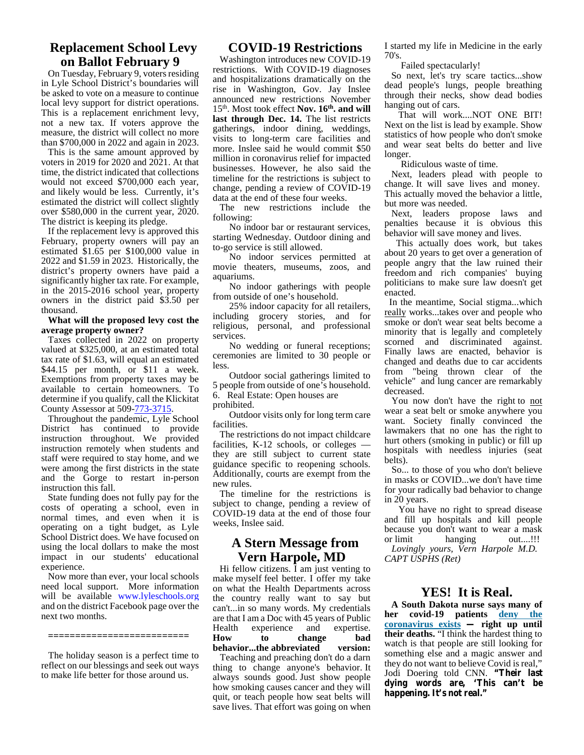#### **Replacement School Levy on Ballot February 9**

On Tuesday, February 9, voters residing in Lyle School District's boundaries will be asked to vote on a measure to continue local levy support for district operations. This is a replacement enrichment levy, not a new tax. If voters approve the measure, the district will collect no more than \$700,000 in 2022 and again in 2023.

This is the same amount approved by voters in 2019 for 2020 and 2021. At that time, the district indicated that collections would not exceed \$700,000 each year, and likely would be less. Currently, it's estimated the district will collect slightly over \$580,000 in the current year, 2020. The district is keeping its pledge.

If the replacement levy is approved this February, property owners will pay an estimated \$1.65 per \$100,000 value in 2022 and \$1.59 in 2023. Historically, the district's property owners have paid a significantly higher tax rate. For example, in the 2015-2016 school year, property owners in the district paid \$3.50 per thousand.

#### **What will the proposed levy cost the average property owner?**

Taxes collected in 2022 on property valued at \$325,000, at an estimated total tax rate of \$1.63, will equal an estimated \$44.15 per month, or \$11 a week. Exemptions from property taxes may be available to certain homeowners. To determine if you qualify, call the Klickitat County Assessor at 509-773-3715.

Throughout the pandemic, Lyle School District has continued to provide instruction throughout. We provided instruction remotely when students and staff were required to stay home, and we were among the first districts in the state and the Gorge to restart in-person instruction this fall.

State funding does not fully pay for the costs of operating a school, even in normal times, and even when it is operating on a tight budget, as Lyle School District does. We have focused on using the local dollars to make the most impact in our students' educational experience.

Now more than ever, your local schools need local support. More information will be available www.lyleschools.org and on the district Facebook page over the next two months.

**==========================**

The holiday season is a perfect time to reflect on our blessings and seek out ways to make life better for those around us.

#### **COVID-19 Restrictions**

Washington introduces new COVID-19 restrictions. With COVID-19 diagnoses and hospitalizations dramatically on the rise in Washington, Gov. Jay Inslee announced new restrictions November 15th. Most took effect **Nov. 16th. and will last through Dec. 14.** The list restricts gatherings, indoor dining, weddings, visits to long-term care facilities and more. Inslee said he would commit \$50 million in coronavirus relief for impacted businesses. However, he also said the timeline for the restrictions is subject to change, pending a review of COVID-19 data at the end of these four weeks.

The new restrictions include the following:

No indoor bar or restaurant services, starting Wednesday. Outdoor dining and to-go service is still allowed.

No indoor services permitted at movie theaters, museums, zoos, and aquariums.

No indoor gatherings with people from outside of one's household.

25% indoor capacity for all retailers, including grocery stories, and for  $\frac{1}{100}$ religious, personal, and professional  $\frac{SI}{m}$ services.

No wedding or funeral receptions; ceremonies are limited to 30 people or less.

Outdoor social gatherings limited to 5 people from outside of one's household. 6. Real Estate: Open houses are prohibited.

Outdoor visits only for long term care facilities.

The restrictions do not impact childcare facilities, K-12 schools, or colleges they are still subject to current state guidance specific to reopening schools. Additionally, courts are exempt from the new rules.

The timeline for the restrictions is subject to change, pending a review of COVID-19 data at the end of those four weeks, Inslee said.

# **A Stern Message from Vern Harpole, MD**

Hi fellow citizens. I am just venting to make myself feel better. I offer my take on what the Health Departments across the country really want to say but can't...in so many words. My credentials are that I am a Doc with 45 years of Public experience and expertise. **How to change bad behavior...the abbreviated version:** Teaching and preaching don't do a darn thing to change anyone's behavior. It always sounds good. Just show people how smoking causes cancer and they will quit, or teach people how seat belts will save lives. That effort was going on when I started my life in Medicine in the early 70's.

Failed spectacularly!

So next, let's try scare tactics...show dead people's lungs, people breathing through their necks, show dead bodies hanging out of cars.

That will work....NOT ONE BIT! Next on the list is lead by example. Show statistics of how people who don't smoke and wear seat belts do better and live longer.

Ridiculous waste of time.

Next, leaders plead with people to change. It will save lives and money. This actually moved the behavior a little, but more was needed.

Next, leaders propose laws and penalties because it is obvious this behavior will save money and lives.

This actually does work, but takes about 20 years to get over a generation of people angry that the law ruined their freedom and rich companies' buying politicians to make sure law doesn't get enacted.

In the meantime, Social stigma...which really works...takes over and people who smoke or don't wear seat belts become a minority that is legally and completely scorned and discriminated against. Finally laws are enacted, behavior is changed and deaths due to car accidents from "being thrown clear of the vehicle" and lung cancer are remarkably decreased.

You now don't have the right to not wear a seat belt or smoke anywhere you want. Society finally convinced the lawmakers that no one has the right to hurt others (smoking in public) or fill up hospitals with needless injuries (seat belts).

So... to those of you who don't believe in masks or COVID...we don't have time for your radically bad behavior to change in 20 years.

You have no right to spread disease and fill up hospitals and kill people because you don't want to wear a mask<br>or limit hanging out....!!! hanging *Lovingly yours, Vern Harpole M.D. CAPT USPHS (Ret)*

#### **YES! It is Real.**

**A South Dakota nurse says many of her covid-19 patients deny the coronavirus exists — right up until their deaths.** "I think the hardest thing to watch is that people are still looking for something else and a magic answer and they do not want to believe Covid is real," Jodi Doering told CNN. **"Their last dying words are, 'This can't be happening. It's not real."**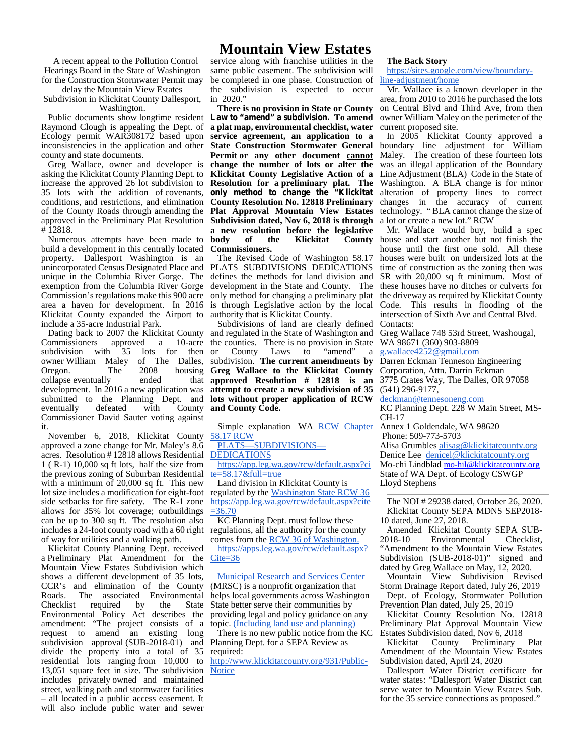A recent appeal to the Pollution Control Hearings Board in the State of Washington for the Construction Stormwater Permit may

delay the Mountain View Estates Subdivision in Klickitat County Dallesport, Washington.

Public documents show longtime resident Raymond Clough is appealing the Dept. of Ecology permit WAR308172 based upon inconsistencies in the application and other county and state documents.

Greg Wallace, owner and developer is asking the Klickitat County Planning Dept. to increase the approved 26 lot subdivision to 35 lots with the addition of covenants, conditions, and restrictions, and elimination of the County Roads through amending the approved in the Preliminary Plat Resolution # 12818.

Numerous attempts have been made to **body** build a development in this centrally located property. Dallesport Washington is an unincorporated Census Designated Place and unique in the Columbia River Gorge. The exemption from the Columbia River Gorge Commission's regulations make this 900 acre area a haven for development. In 2016 Klickitat County expanded the Airport to include a 35-acre Industrial Park.

Dating back to 2007 the Klickitat County Commissioners approved a 10-acre subdivision with 35 lots for then or owner William Maley of The Dalles,<br>Oregon. The 2008 housing Oregon. The 2008 housing collapse eventually ended that development. In 2016 a new application was submitted to the Planning Dept. and<br>eventually defeated with County eventually Commissioner David Sauter voting against it.

November 6, 2018, Klickitat County approved a zone change for Mr. Maley's 8.6 acres. Resolution # 12818 allows Residential 1 ( R-1) 10,000 sq ft lots, half the size from the previous zoning of Suburban Residential with a minimum of 20,000 sq ft. This new lot size includes a modification for eight-foot side setbacks for fire safety. The R-1 zone allows for 35% lot coverage; outbuildings can be up to 300 sq ft. The resolution also includes a 24-foot county road with a 60 right of way for utilities and a walking path.

Klickitat County Planning Dept. received a Preliminary Plat Amendment for the Mountain View Estates Subdivision which shows a different development of 35 lots, CCR's and elimination of the County Roads. The associated Environmental<br>Checklist required by the State required by the State Environmental Policy Act describes the amendment: "The project consists of a topic. request to amend an existing long subdivision approval (SUB-2018-01) and divide the property into a total of 35 residential lots ranging from 10,000 to 13,051 square feet in size. The subdivision Notice includes privately owned and maintained street, walking path and stormwater facilities – all located in a public access easement. It will also include public water and sewer

service along with franchise utilities in the same public easement. The subdivision will be completed in one phase. Construction of the subdivision is expected to occur in 2020."

**There is no provision in State or County Law to "amend" a subdivision. To amend a plat map, environmental checklist, water service agreement, an application to a State Construction Stormwater General Permit or any other document cannot change the number of lots or alter the Klickitat County Legislative Action of a Resolution for a preliminary plat. The only method to change the "Klickitat County Resolution No. 12818 Preliminary Plat Approval Mountain View Estates Subdivision dated, Nov 6, 2018 is through a new resolution before the legislative** of the Klickitat County **Commissioners.**

The Revised Code of Washington 58.17 PLATS SUBDIVISIONS DEDICATIONS defines the methods for land division and development in the State and County. The only method for changing a preliminary plat is through Legislative action by the local authority that is Klickitat County.

Subdivisions of land are clearly defined and regulated in the State of Washington and the counties. There is no provision in State County Laws to "amend" a subdivision. **The current amendments by Greg Wallace to the Klickitat County approved Resolution # 12818 is an attempt to create a new subdivision of 35 lots without proper application of RCW and County Code.**

Simple explanation WA **RCW Chapter** Annex 1 Goldendale, WA 98620 58.17 RCW

PLATS—SUBDIVISIONS—

DEDICATIONS

https://app.leg.wa.gov/rcw/default.aspx?ci  $te = 58.17 \& full = true$ 

Land division in Klickitat County is regulated by the Washington State RCW 36 https://app.leg.wa.gov/rcw/default.aspx?cite  $=36.70$ 

KC Planning Dept. must follow these regulations, all the authority for the county<br>
comes from the RCW 36 of Washington. 2018-10 comes from the RCW 36 of Washington.

https://apps.leg.wa.gov/rcw/default.aspx? Cite=36

Municipal Research and Services Center (MRSC) is a nonprofit organization that helps local governments across Washington State better serve their communities by providing legal and policy guidance on any topic. (Including land use and planning)

There is no new public notice from the KC Planning Dept. for a SEPA Review as required:

http://www.klickitatcounty.org/931/Public-

#### **The Back Story**

https://sites.google.com/view/boundaryline-adjustment/home

Mr. Wallace is a known developer in the area, from 2010 to 2016 he purchased the lots on Central Blvd and Third Ave, from then owner William Maley on the perimeter of the current proposed site.

In 2005 Klickitat County approved a boundary line adjustment for William Maley. The creation of these fourteen lots was an illegal application of the Boundary Line Adjustment (BLA) Code in the State of Washington. A BLA change is for minor alteration of property lines to correct changes in the accuracy of current technology. " BLA cannot change the size of a lot or create a new lot." RCW

Mr. Wallace would buy, build a spec house and start another but not finish the house until the first one sold. All these houses were built on undersized lots at the time of construction as the zoning then was SR with 20,000 sq ft minimum. Most of these houses have no ditches or culverts for the driveway as required by Klickitat County Code. This results in flooding of the intersection of Sixth Ave and Central Blvd. Contacts:

Greg Wallace 748 53rd Street, Washougal, WA 98671 (360) 903-8809

g.wallace4252@gmail.com

Darren Eckman Tenneson Engineering Corporation, Attn. Darrin Eckman 3775 Crates Way, The Dalles, OR 97058 (541) 296-9177,

deckman@tennesoneng.com

KC Planning Dept. 228 W Main Street, MS- CH-17

Phone: 509-773-5703 Alisa Grumbles alisag@klickitatcounty.org Denice Lee denicel@klickitatcounty.org

Mo-chi Lindblad mo-hil@klickitatcounty.org State of WA Dept. of Ecology CSWGP Lloyd Stephens

The NOI # 29238 dated, October 26, 2020. Klickitat County SEPA MDNS SEP2018- 10 dated, June 27, 2018.

Amended Klickitat County SEPA SUB-<br>
2018-10 Environmental Checklist. Environmental "Amendment to the Mountain View Estates Subdivision (SUB-2018-01)" signed and dated by Greg Wallace on May, 12, 2020.

Mountain View Subdivision Revised Storm Drainage Report dated, July 26, 2019

Dept. of Ecology, Stormwater Pollution Prevention Plan dated, July 25, 2019

Klickitat County Resolution No. 12818 Preliminary Plat Approval Mountain View Estates Subdivision dated, Nov 6, 2018

Klickitat County Preliminary Plat Amendment of the Mountain View Estates Subdivision dated, April 24, 2020

Dallesport Water District certificate for water states: "Dallesport Water District can serve water to Mountain View Estates Sub. for the 35 service connections as proposed."

# **Mountain View Estates**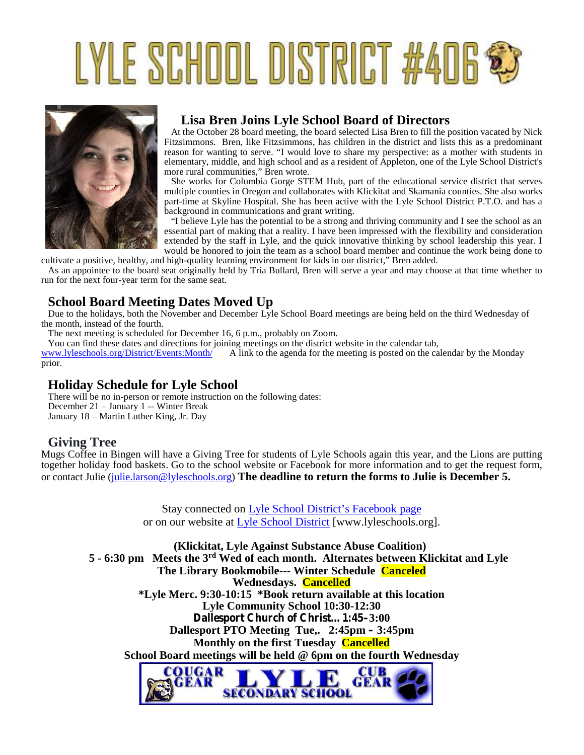# LYLE SCHOOL DISTRICT #406\*



# **Lisa Bren Joins Lyle School Board of Directors**

At the October 28 board meeting, the board selected Lisa Bren to fill the position vacated by Nick Fitzsimmons. Bren, like Fitzsimmons, has children in the district and lists this as a predominant reason for wanting to serve. "I would love to share my perspective: as a mother with students in elementary, middle, and high school and as a resident of Appleton, one of the Lyle School District's more rural communities," Bren wrote.

She works for Columbia Gorge STEM Hub, part of the educational service district that serves multiple counties in Oregon and collaborates with Klickitat and Skamania counties. She also works part-time at Skyline Hospital. She has been active with the Lyle School District P.T.O. and has a background in communications and grant writing.

"I believe Lyle has the potential to be a strong and thriving community and I see the school as an essential part of making that a reality. I have been impressed with the flexibility and consideration extended by the staff in Lyle, and the quick innovative thinking by school leadership this year. I would be honored to join the team as a school board member and continue the work being done to

cultivate a positive, healthy, and high-quality learning environment for kids in our district," Bren added. As an appointee to the board seat originally held by Tria Bullard, Bren will serve a year and may choose at that time whether to run for the next four-year term for the same seat.

# **School Board Meeting Dates Moved Up**

Due to the holidays, both the November and December Lyle School Board meetings are being held on the third Wednesday of the month, instead of the fourth.

The next meeting is scheduled for December 16, 6 p.m., probably on Zoom.

You can find these dates and directions for joining meetings on the district website in the calendar tab, www.lyleschools.org/District/Events:Month/ A link to the agenda for the meeting is posted on the ca

A link to the agenda for the meeting is posted on the calendar by the Monday prior.

# **Holiday Schedule for Lyle School**

There will be no in-person or remote instruction on the following dates: December 21 – January 1 -- Winter Break January 18 – Martin Luther King, Jr. Day

## **Giving Tree**

Mugs Coffee in Bingen will have a Giving Tree for students of Lyle Schools again this year, and the Lions are putting together holiday food baskets. Go to the school website or Facebook for more information and to get the request form, or contact Julie (julie.larson@lyleschools.org) **The deadline to return the forms to Julie is December 5.**

> Stay connected on Lyle School District's Facebook page or on our website at Lyle School District [www.lyleschools.org].

**(Klickitat, Lyle Against Substance Abuse Coalition) 5 - 6:30 pm Meets the 3rd Wed of each month. Alternates between Klickitat and Lyle The Library Bookmobile--- Winter Schedule Canceled Wednesdays. Cancelled \*Lyle Merc. 9:30-10:15 \*Book return available at this location Lyle Community School 10:30-12:30 Dallesport Church of Christ…1:45–3:00 Dallesport PTO Meeting Tue,. 2:45pm – 3:45pm Monthly on the first Tuesday Cancelled School Board meetings will be held @ 6pm on the fourth Wednesday**COUGAR **CUB** 

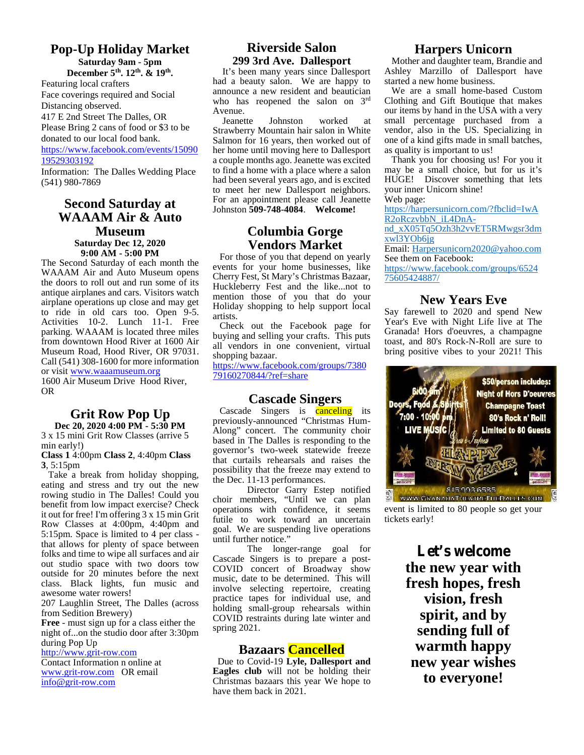# **Pop-Up Holiday Market**

**Saturday 9am - 5pm**

**December 5th. 12th. & 19th .** Featuring local crafters Face coverings required and Social Distancing observed. 417 E 2nd Street The Dalles, OR Please Bring 2 cans of food or \$3 to be donated to our local food bank.

https://www.facebook.com/events/15090 19529303192

Information: The Dalles Wedding Place (541) 980-7869

## **Second Saturday at WAAAM Air & Auto Museum Saturday Dec 12, 2020**

**9:00 AM - 5:00 PM**

The Second Saturday of each month the WAAAM Air and Auto Museum opens the doors to roll out and run some of its antique airplanes and cars. Visitors watch airplane operations up close and may get to ride in old cars too. Open 9-5. Activities 10-2. Lunch 11-1. Free parking. WAAAM is located three miles from downtown Hood River at 1600 Air Museum Road, Hood River, OR 97031. Call (541) 308-1600 for more information or visit www.waaamuseum.org 1600 Air Museum Drive Hood River, OR

#### **Grit Row Pop Up Dec 20, 2020 4:00 PM - 5:30 PM**

3 x 15 mini Grit Row Classes (arrive 5 min early!)

**Class 1** 4:00pm **Class 2**, 4:40pm **Class 3**, 5:15pm

Take a break from holiday shopping, eating and stress and try out the new rowing studio in The Dalles! Could you benefit from low impact exercise? Check it out for free! I'm offering 3 x 15 min Grit Row Classes at 4:00pm, 4:40pm and 5:15pm. Space is limited to 4 per class that allows for plenty of space between folks and time to wipe all surfaces and air out studio space with two doors tow outside for 20 minutes before the next class. Black lights, fun music and awesome water rowers!

207 Laughlin Street, The Dalles (across from Sedition Brewery)

**Free** - must sign up for a class either the night of...on the studio door after 3:30pm during Pop Up

http://www.grit-row.com

Contact Information n online at www.grit-row.com OR email info@grit-row.com

## **Riverside Salon 299 3rd Ave. Dallesport**

It's been many years since Dallesport had a beauty salon. We are happy to announce a new resident and beautician who has reopened the salon on 3<sup>rd</sup> Avenue.<br>Jeanette

Johnston worked Strawberry Mountain hair salon in White Salmon for 16 years, then worked out of her home until moving here to Dallesport a couple months ago. Jeanette was excited to find a home with a place where a salon had been several years ago, and is excited to meet her new Dallesport neighbors. For an appointment please call Jeanette Johnston **509-748-4084**. **Welcome!**

# **Columbia Gorge Vendors Market**

For those of you that depend on yearly events for your home businesses, like Cherry Fest, St Mary's Christmas Bazaar, Huckleberry Fest and the like...not to mention those of you that do your Holiday shopping to help support local artists.

Check out the Facebook page for buying and selling your crafts. This puts all vendors in one convenient, virtual shopping bazaar.

https://www.facebook.com/groups/7380 79160270844/?ref=share

## **Cascade Singers**

Cascade Singers is **canceling** its previously-announced "Christmas Hum- Along" concert. The community choir based in The Dalles is responding to the governor's two-week statewide freeze that curtails rehearsals and raises the possibility that the freeze may extend to the Dec. 11-13 performances.

choir members, "Until we can plan operations with confidence, it seems futile to work toward an uncertain goal. We are suspending live operations until further notice."

The longer-range goal for Cascade Singers is to prepare a post- COVID concert of Broadway show music, date to be determined. This will involve selecting repertoire, creating practice tapes for individual use, and holding small-group rehearsals within COVID restraints during late winter and spring 2021.

# **Bazaars Cancelled**

Due to Covid-19 **Lyle, Dallesport and Eagles club** will not be holding their Christmas bazaars this year We hope to have them back in 2021.

# **Harpers Unicorn**

Mother and daughter team, Brandie and Ashley Marzillo of Dallesport have started a new home business.

We are a small home-based Custom Clothing and Gift Boutique that makes our items by hand in the USA with a very small percentage purchased from a vendor, also in the US. Specializing in one of a kind gifts made in small batches, as quality is important to us!

Thank you for choosing us! For you it may be a small choice, but for us it's HUGE! Discover something that lets your inner Unicorn shine!

Web page:

https://harpersunicorn.com/?fbclid=IwA R<sub>2</sub>oRczybbN\_iL4DnA-

nd\_xX05Tq5Ozh3h2vvET5RMwgsr3dm xwl3YOb6jg

Email: Harpersunicorn2020@yahoo.com See them on Facebook:

https://www.facebook.com/groups/6524 75605424887/

# **New Years Eve**

Say farewell to 2020 and spend New Year's Eve with Night Life live at The Granada! Hors d'oeuvres, a champagne toast, and 80's Rock-N-Roll are sure to bring positive vibes to your 2021! This



event is limited to 80 people so get your tickets early!

> **Let's welcome the new year with fresh hopes, fresh vision, fresh spirit, and by sending full of warmth happy new year wishes to everyone!**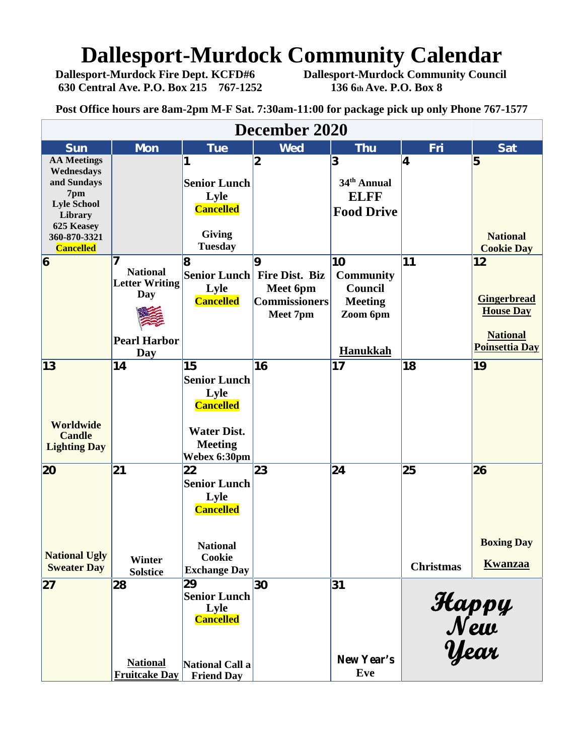# **Dallesport-Murdock Community Calendar**<br>Dallesport-Murdock Fire Dept. KCFD#6 Dallesport-Murdock Community Council

**630 Central Ave. P.O. Box 215 767-1252 136 6th Ave. P.O. Box 8**

**Dallesport-Murdock Community Council** 

**Post Office hours are 8am-2pm M-F Sat. 7:30am-11:00 for package pick up only Phone 767-1577**

| December 2020              |                       |                     |                             |                         |                  |                       |  |  |  |  |  |
|----------------------------|-----------------------|---------------------|-----------------------------|-------------------------|------------------|-----------------------|--|--|--|--|--|
| <b>Sun</b>                 | <b>Mon</b>            | <b>Tue</b>          | <b>Wed</b>                  | <b>Thu</b>              | Fri              | <b>Sat</b>            |  |  |  |  |  |
| <b>AA Meetings</b>         |                       | 1                   | $\boldsymbol{2}$            | 3                       | 4                | 5                     |  |  |  |  |  |
| Wednesdays                 |                       |                     |                             |                         |                  |                       |  |  |  |  |  |
| and Sundays                |                       | <b>Senior Lunch</b> |                             | 34 <sup>th</sup> Annual |                  |                       |  |  |  |  |  |
| 7pm                        |                       | Lyle                |                             | <b>ELFF</b>             |                  |                       |  |  |  |  |  |
| <b>Lyle School</b>         |                       | <b>Cancelled</b>    |                             | <b>Food Drive</b>       |                  |                       |  |  |  |  |  |
| Library                    |                       |                     |                             |                         |                  |                       |  |  |  |  |  |
| 625 Keasey<br>360-870-3321 |                       | <b>Giving</b>       |                             |                         |                  | <b>National</b>       |  |  |  |  |  |
| <b>Cancelled</b>           |                       | <b>Tuesday</b>      |                             |                         |                  | <b>Cookie Day</b>     |  |  |  |  |  |
| $6\overline{6}$            |                       | 18                  | 9                           | 10                      | 11               | 12                    |  |  |  |  |  |
|                            | <b>National</b>       |                     |                             |                         |                  |                       |  |  |  |  |  |
|                            | <b>Letter Writing</b> |                     | Senior Lunch Fire Dist. Biz | <b>Community</b>        |                  |                       |  |  |  |  |  |
|                            | Day                   | Lyle                | Meet 6pm                    | Council                 |                  |                       |  |  |  |  |  |
|                            |                       | <b>Cancelled</b>    | <b>Commissioners</b>        | <b>Meeting</b>          |                  | <b>Gingerbread</b>    |  |  |  |  |  |
|                            |                       |                     | Meet 7pm                    | Zoom 6pm                |                  | <b>House Day</b>      |  |  |  |  |  |
|                            |                       |                     |                             |                         |                  |                       |  |  |  |  |  |
|                            | <b>Pearl Harbor</b>   |                     |                             |                         |                  | <b>National</b>       |  |  |  |  |  |
|                            | Day                   |                     |                             | Hanukkah                |                  | <b>Poinsettia Day</b> |  |  |  |  |  |
| $\vert$ 13                 | 14                    | 15                  | 16                          | 17                      | 18               | 19                    |  |  |  |  |  |
|                            |                       | <b>Senior Lunch</b> |                             |                         |                  |                       |  |  |  |  |  |
|                            |                       | Lyle                |                             |                         |                  |                       |  |  |  |  |  |
|                            |                       | <b>Cancelled</b>    |                             |                         |                  |                       |  |  |  |  |  |
|                            |                       |                     |                             |                         |                  |                       |  |  |  |  |  |
| <b>Worldwide</b>           |                       |                     |                             |                         |                  |                       |  |  |  |  |  |
| <b>Candle</b>              |                       | <b>Water Dist.</b>  |                             |                         |                  |                       |  |  |  |  |  |
| <b>Lighting Day</b>        |                       | <b>Meeting</b>      |                             |                         |                  |                       |  |  |  |  |  |
|                            |                       | Webex 6:30pm        |                             |                         |                  |                       |  |  |  |  |  |
| 20                         | 21                    | 22                  | 23                          | 24                      | 25               | 26                    |  |  |  |  |  |
|                            |                       | <b>Senior Lunch</b> |                             |                         |                  |                       |  |  |  |  |  |
|                            |                       | Lyle                |                             |                         |                  |                       |  |  |  |  |  |
|                            |                       | <b>Cancelled</b>    |                             |                         |                  |                       |  |  |  |  |  |
|                            |                       |                     |                             |                         |                  |                       |  |  |  |  |  |
|                            |                       |                     |                             |                         |                  |                       |  |  |  |  |  |
|                            |                       | <b>National</b>     |                             |                         |                  | <b>Boxing Day</b>     |  |  |  |  |  |
| <b>National Ugly</b>       | Winter                | Cookie              |                             |                         |                  |                       |  |  |  |  |  |
| <b>Sweater Day</b>         | <b>Solstice</b>       | <b>Exchange Day</b> |                             |                         | <b>Christmas</b> | <b>Kwanzaa</b>        |  |  |  |  |  |
| 27                         | 28                    | 29                  | 30                          | 31                      |                  |                       |  |  |  |  |  |
|                            |                       | <b>Senior Lunch</b> |                             |                         |                  |                       |  |  |  |  |  |
|                            |                       | Lyle                |                             |                         |                  |                       |  |  |  |  |  |
|                            |                       | <b>Cancelled</b>    |                             |                         |                  |                       |  |  |  |  |  |
|                            |                       |                     |                             |                         |                  |                       |  |  |  |  |  |
|                            |                       |                     |                             |                         |                  |                       |  |  |  |  |  |
|                            |                       |                     |                             |                         |                  | Happy<br>New<br>Year  |  |  |  |  |  |
|                            | <b>National</b>       | National Call a     |                             | New Year's              |                  |                       |  |  |  |  |  |
|                            | <b>Fruitcake Day</b>  | <b>Friend Day</b>   |                             | Eve                     |                  |                       |  |  |  |  |  |